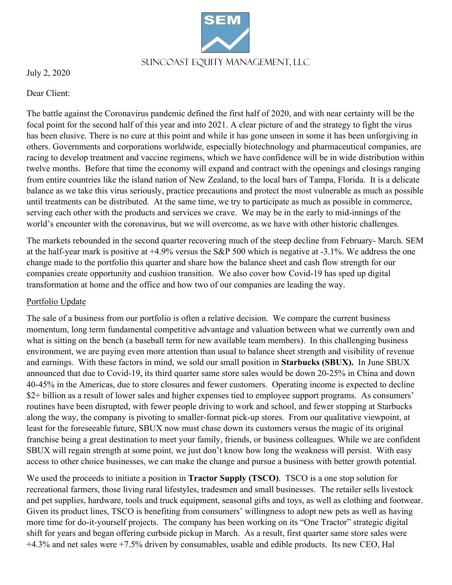Suncoast Equity Management, LLC

July 2, 2020

Dear Client:

The battle against the Coronavirus pandemic defined the first half of 2020, and with near certainty will be the focal point for the second half of this year and into 2021. A clear picture of and the strategy to fight the virus has been elusive. There is no cure at this point and while it has gone unseen in some it has been unforgiving in others. Governments and corporations worldwide, especially biotechnology and pharmaceutical companies, are racing to develop treatment and vaccine regimens, which we have confidence will be in wide distribution within twelve months. Before that time the economy will expand and contract with the openings and closings ranging from entire countries like the island nation of New Zealand, to the local bars of Tampa, Florida. It is a delicate balance as we take this virus seriously, practice precautions and protect the most vulnerable as much as possible until treatments can be distributed. At the same time, we try to participate as much as possible in commerce, serving each other with the products and services we crave. We may be in the early to mid-innings of the world's encounter with the coronavirus, but we will overcome, as we have with other historic challenges.

The markets rebounded in the second quarter recovering much of the steep decline from February- March. SEM at the half-year mark is positive at +4.9% versus the S&P 500 which is negative at -3.1%. We address the one change made to the portfolio this quarter and share how the balance sheet and cash flow strength for our companies create opportunity and cushion transition. We also cover how Covid-19 has sped up digital transformation at home and the office and how two of our companies are leading the way.

# Portfolio Update

The sale of a business from our portfolio is often a relative decision. We compare the current business momentum, long term fundamental competitive advantage and valuation between what we currently own and what is sitting on the bench (a baseball term for new available team members). In this challenging business environment, we are paying even more attention than usual to balance sheet strength and visibility of revenue and earnings. With these factors in mind, we sold our small position in **Starbucks (SBUX).** In June SBUX announced that due to Covid-19, its third quarter same store sales would be down 20-25% in China and down 40-45% in the Americas, due to store closures and fewer customers. Operating income is expected to decline \$2+ billion as a result of lower sales and higher expenses tied to employee support programs. As consumers' routines have been disrupted, with fewer people driving to work and school, and fewer stopping at Starbucks along the way, the company is pivoting to smaller-format pick-up stores. From our qualitative viewpoint, at least for the foreseeable future, SBUX now must chase down its customers versus the magic of its original franchise being a great destination to meet your family, friends, or business colleagues. While we are confident SBUX will regain strength at some point, we just don't know how long the weakness will persist. With easy access to other choice businesses, we can make the change and pursue a business with better growth potential.

We used the proceeds to initiate a position in **Tractor Supply (TSCO)**. TSCO is a one stop solution for recreational farmers, those living rural lifestyles, tradesmen and small businesses. The retailer sells livestock and pet supplies, hardware, tools and truck equipment, seasonal gifts and toys, as well as clothing and footwear. Given its product lines, TSCO is benefiting from consumers' willingness to adopt new pets as well as having more time for do-it-yourself projects. The company has been working on its "One Tractor" strategic digital shift for years and began offering curbside pickup in March. As a result, first quarter same store sales were +4.3% and net sales were +7.5% driven by consumables, usable and edible products. Its new CEO, Hal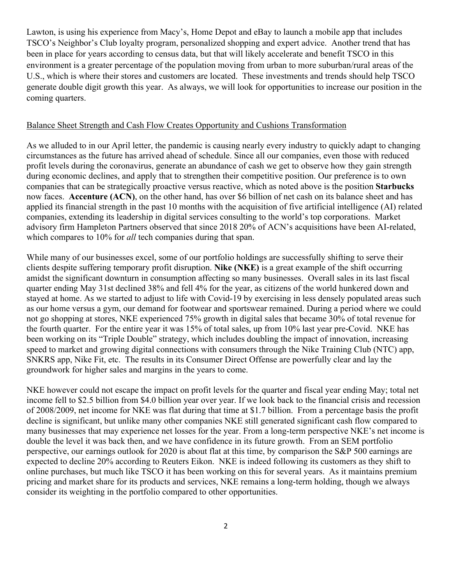Lawton, is using his experience from Macy's, Home Depot and eBay to launch a mobile app that includes TSCO's Neighbor's Club loyalty program, personalized shopping and expert advice. Another trend that has been in place for years according to census data, but that will likely accelerate and benefit TSCO in this environment is a greater percentage of the population moving from urban to more suburban/rural areas of the U.S., which is where their stores and customers are located. These investments and trends should help TSCO generate double digit growth this year. As always, we will look for opportunities to increase our position in the coming quarters.

## Balance Sheet Strength and Cash Flow Creates Opportunity and Cushions Transformation

As we alluded to in our April letter, the pandemic is causing nearly every industry to quickly adapt to changing circumstances as the future has arrived ahead of schedule. Since all our companies, even those with reduced profit levels during the coronavirus, generate an abundance of cash we get to observe how they gain strength during economic declines, and apply that to strengthen their competitive position. Our preference is to own companies that can be strategically proactive versus reactive, which as noted above is the position **Starbucks** now faces. **Accenture (ACN)**, on the other hand, has over \$6 billion of net cash on its balance sheet and has applied its financial strength in the past 10 months with the acquisition of five artificial intelligence (AI) related companies, extending its leadership in digital services consulting to the world's top corporations. Market advisory firm Hampleton Partners observed that since 2018 20% of ACN's acquisitions have been AI-related, which compares to 10% for *all* tech companies during that span.

While many of our businesses excel, some of our portfolio holdings are successfully shifting to serve their clients despite suffering temporary profit disruption. **Nike (NKE)** is a great example of the shift occurring amidst the significant downturn in consumption affecting so many businesses. Overall sales in its last fiscal quarter ending May 31st declined 38% and fell 4% for the year, as citizens of the world hunkered down and stayed at home. As we started to adjust to life with Covid-19 by exercising in less densely populated areas such as our home versus a gym, our demand for footwear and sportswear remained. During a period where we could not go shopping at stores, NKE experienced 75% growth in digital sales that became 30% of total revenue for the fourth quarter. For the entire year it was 15% of total sales, up from 10% last year pre-Covid. NKE has been working on its "Triple Double" strategy, which includes doubling the impact of innovation, increasing speed to market and growing digital connections with consumers through the Nike Training Club (NTC) app, SNKRS app, Nike Fit, etc. The results in its Consumer Direct Offense are powerfully clear and lay the groundwork for higher sales and margins in the years to come.

NKE however could not escape the impact on profit levels for the quarter and fiscal year ending May; total net income fell to \$2.5 billion from \$4.0 billion year over year. If we look back to the financial crisis and recession of 2008/2009, net income for NKE was flat during that time at \$1.7 billion. From a percentage basis the profit decline is significant, but unlike many other companies NKE still generated significant cash flow compared to many businesses that may experience net losses for the year. From a long-term perspective NKE's net income is double the level it was back then, and we have confidence in its future growth. From an SEM portfolio perspective, our earnings outlook for 2020 is about flat at this time, by comparison the S&P 500 earnings are expected to decline 20% according to Reuters Eikon. NKE is indeed following its customers as they shift to online purchases, but much like TSCO it has been working on this for several years. As it maintains premium pricing and market share for its products and services, NKE remains a long-term holding, though we always consider its weighting in the portfolio compared to other opportunities.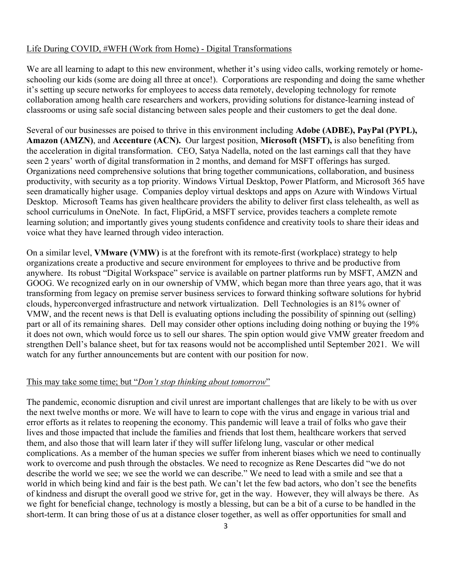#### Life During COVID, #WFH (Work from Home) - Digital Transformations

We are all learning to adapt to this new environment, whether it's using video calls, working remotely or homeschooling our kids (some are doing all three at once!). Corporations are responding and doing the same whether it's setting up secure networks for employees to access data remotely, developing technology for remote collaboration among health care researchers and workers, providing solutions for distance-learning instead of classrooms or using safe social distancing between sales people and their customers to get the deal done.

Several of our businesses are poised to thrive in this environment including **Adobe (ADBE), PayPal (PYPL), Amazon (AMZN)**, and **Accenture (ACN).** Our largest position, **Microsoft (MSFT),** is also benefiting from the acceleration in digital transformation. CEO, Satya Nadella, noted on the last earnings call that they have seen 2 years' worth of digital transformation in 2 months, and demand for MSFT offerings has surged. Organizations need comprehensive solutions that bring together communications, collaboration, and business productivity, with security as a top priority. Windows Virtual Desktop, Power Platform, and Microsoft 365 have seen dramatically higher usage. Companies deploy virtual desktops and apps on Azure with Windows Virtual Desktop. Microsoft Teams has given healthcare providers the ability to deliver first class telehealth, as well as school curriculums in OneNote. In fact, FlipGrid, a MSFT service, provides teachers a complete remote learning solution; and importantly gives young students confidence and creativity tools to share their ideas and voice what they have learned through video interaction.

On a similar level, **VMware (VMW)** is at the forefront with its remote-first (workplace) strategy to help organizations create a productive and secure environment for employees to thrive and be productive from anywhere. Its robust "Digital Workspace" service is available on partner platforms run by MSFT, AMZN and GOOG. We recognized early on in our ownership of VMW, which began more than three years ago, that it was transforming from legacy on premise server business services to forward thinking software solutions for hybrid clouds, hyperconverged infrastructure and network virtualization. Dell Technologies is an 81% owner of VMW, and the recent news is that Dell is evaluating options including the possibility of spinning out (selling) part or all of its remaining shares. Dell may consider other options including doing nothing or buying the 19% it does not own, which would force us to sell our shares. The spin option would give VMW greater freedom and strengthen Dell's balance sheet, but for tax reasons would not be accomplished until September 2021. We will watch for any further announcements but are content with our position for now.

### This may take some time; but "*Don't stop thinking about tomorrow*"

The pandemic, economic disruption and civil unrest are important challenges that are likely to be with us over the next twelve months or more. We will have to learn to cope with the virus and engage in various trial and error efforts as it relates to reopening the economy. This pandemic will leave a trail of folks who gave their lives and those impacted that include the families and friends that lost them, healthcare workers that served them, and also those that will learn later if they will suffer lifelong lung, vascular or other medical complications. As a member of the human species we suffer from inherent biases which we need to continually work to overcome and push through the obstacles. We need to recognize as Rene Descartes did "we do not describe the world we see; we see the world we can describe." We need to lead with a smile and see that a world in which being kind and fair is the best path. We can't let the few bad actors, who don't see the benefits of kindness and disrupt the overall good we strive for, get in the way. However, they will always be there. As we fight for beneficial change, technology is mostly a blessing, but can be a bit of a curse to be handled in the short-term. It can bring those of us at a distance closer together, as well as offer opportunities for small and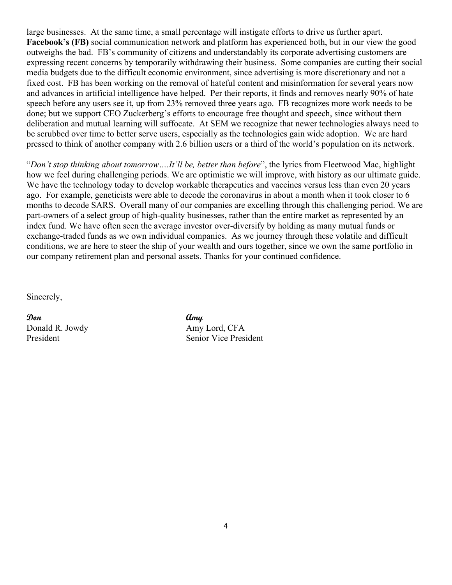large businesses. At the same time, a small percentage will instigate efforts to drive us further apart. **Facebook's (FB)** social communication network and platform has experienced both, but in our view the good outweighs the bad. FB's community of citizens and understandably its corporate advertising customers are expressing recent concerns by temporarily withdrawing their business. Some companies are cutting their social media budgets due to the difficult economic environment, since advertising is more discretionary and not a fixed cost. FB has been working on the removal of hateful content and misinformation for several years now and advances in artificial intelligence have helped. Per their reports, it finds and removes nearly 90% of hate speech before any users see it, up from 23% removed three years ago. FB recognizes more work needs to be done; but we support CEO Zuckerberg's efforts to encourage free thought and speech, since without them deliberation and mutual learning will suffocate. At SEM we recognize that newer technologies always need to be scrubbed over time to better serve users, especially as the technologies gain wide adoption. We are hard pressed to think of another company with 2.6 billion users or a third of the world's population on its network.

"*Don't stop thinking about tomorrow….It'll be, better than before*", the lyrics from Fleetwood Mac, highlight how we feel during challenging periods. We are optimistic we will improve, with history as our ultimate guide. We have the technology today to develop workable therapeutics and vaccines versus less than even 20 years ago. For example, geneticists were able to decode the coronavirus in about a month when it took closer to 6 months to decode SARS. Overall many of our companies are excelling through this challenging period. We are part-owners of a select group of high-quality businesses, rather than the entire market as represented by an index fund. We have often seen the average investor over-diversify by holding as many mutual funds or exchange-traded funds as we own individual companies. As we journey through these volatile and difficult conditions, we are here to steer the ship of your wealth and ours together, since we own the same portfolio in our company retirement plan and personal assets. Thanks for your continued confidence.

Sincerely,

**Don Amy** Donald R. Jowdy Amy Lord, CFA

President Senior Vice President